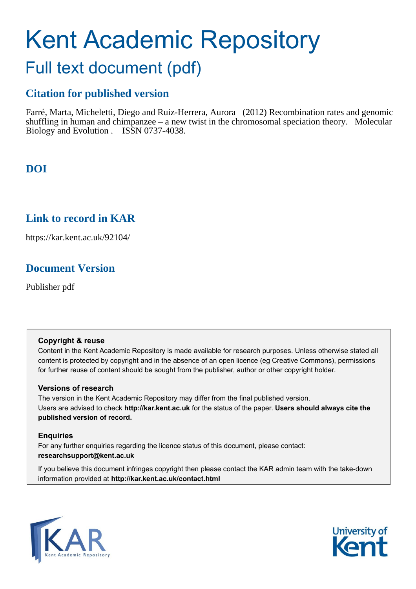# Kent Academic Repository

## Full text document (pdf)

## **Citation for published version**

Farré, Marta, Micheletti, Diego and Ruiz-Herrera, Aurora (2012) Recombination rates and genomic shuffling in human and chimpanzee – a new twist in the chromosomal speciation theory. Molecular Biology and Evolution . ISSN 0737-4038.

## **DOI**

### **Link to record in KAR**

https://kar.kent.ac.uk/92104/

## **Document Version**

Publisher pdf

#### **Copyright & reuse**

Content in the Kent Academic Repository is made available for research purposes. Unless otherwise stated all content is protected by copyright and in the absence of an open licence (eg Creative Commons), permissions for further reuse of content should be sought from the publisher, author or other copyright holder.

#### **Versions of research**

The version in the Kent Academic Repository may differ from the final published version. Users are advised to check **http://kar.kent.ac.uk** for the status of the paper. **Users should always cite the published version of record.**

#### **Enquiries**

For any further enquiries regarding the licence status of this document, please contact: **researchsupport@kent.ac.uk**

If you believe this document infringes copyright then please contact the KAR admin team with the take-down information provided at **http://kar.kent.ac.uk/contact.html**



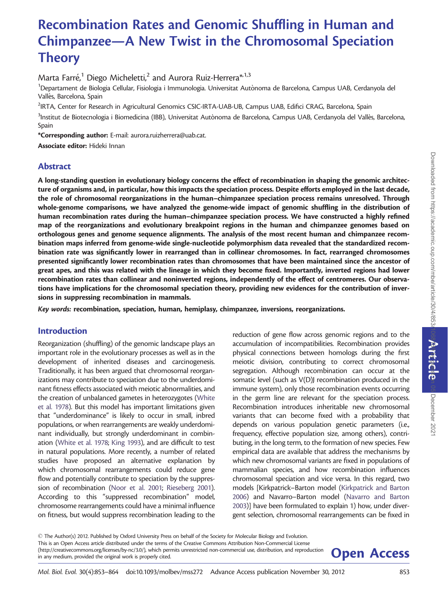## Recombination Rates and Genomic Shuffling in Human and Chimpanzee—A New Twist in the Chromosomal Speciation **Theory**

Marta Farré, $^1$  Diego Micheletti, $^2$  and Aurora Ruiz-Herrera $^{\ast,1,3}$ 

 $^{\rm 1}$ Departament de Biologia Cellular, Fisiologia i Immunologia. Universitat Autònoma de Barcelona, Campus UAB, Cerdanyola del Vallès, Barcelona, Spain

<sup>2</sup>IRTA, Center for Research in Agricultural Genomics CSIC-IRTA-UAB-UB, Campus UAB, Edifici CRAG, Barcelona, Spain

 $^3$ Institut de Biotecnologia i Biomedicina (IBB), Universitat Autònoma de Barcelona, Campus UAB, Cerdanyola del Vallès, Barcelona, Spain

\*Corresponding author: E-mail: aurora.ruizherrera@uab.cat.

Associate editor: Hideki Innan

#### Abstract

A long-standing question in evolutionary biology concerns the effect of recombination in shaping the genomic architecture of organisms and, in particular, how this impacts the speciation process. Despite efforts employed in the last decade, the role of chromosomal reorganizations in the human–chimpanzee speciation process remains unresolved. Through whole-genome comparisons, we have analyzed the genome-wide impact of genomic shuffling in the distribution of human recombination rates during the human–chimpanzee speciation process. We have constructed a highly refined map of the reorganizations and evolutionary breakpoint regions in the human and chimpanzee genomes based on orthologous genes and genome sequence alignments. The analysis of the most recent human and chimpanzee recombination maps inferred from genome-wide single-nucleotide polymorphism data revealed that the standardized recombination rate was significantly lower in rearranged than in collinear chromosomes. In fact, rearranged chromosomes presented significantly lower recombination rates than chromosomes that have been maintained since the ancestor of great apes, and this was related with the lineage in which they become fixed. Importantly, inverted regions had lower recombination rates than collinear and noninverted regions, independently of the effect of centromeres. Our observations have implications for the chromosomal speciation theory, providing new evidences for the contribution of inversions in suppressing recombination in mammals.

Key words: recombination, speciation, human, hemiplasy, chimpanzee, inversions, reorganizations.

#### Introduction

Reorganization (shuffling) of the genomic landscape plays an important role in the evolutionary processes as well as in the development of inherited diseases and carcinogenesis. Traditionally, it has been argued that chromosomal reorganizations may contribute to speciation due to the underdominant fitness effects associated with meiotic abnormalities, and the creation of unbalanced gametes in heterozygotes (White et al. 1978). But this model has important limitations given that "underdominance" is likely to occur in small, inbred populations, or when rearrangements are weakly underdominant individually, but strongly underdominant in combination (White et al. 1978; King 1993), and are difficult to test in natural populations. More recently, a number of related studies have proposed an alternative explanation by which chromosomal rearrangements could reduce gene flow and potentially contribute to speciation by the suppression of recombination (Noor et al. 2001; Rieseberg 2001). According to this "suppressed recombination" model, chromosome rearrangements could have a minimal influence on fitness, but would suppress recombination leading to the

reduction of gene flow across genomic regions and to the accumulation of incompatibilities. Recombination provides physical connections between homologs during the first meiotic division, contributing to correct chromosomal segregation. Although recombination can occur at the somatic level (such as V(D)J recombination produced in the immune system), only those recombination events occurring in the germ line are relevant for the speciation process. Recombination introduces inheritable new chromosomal variants that can become fixed with a probability that depends on various population genetic parameters (i.e., frequency, effective population size, among others), contributing, in the long term, to the formation of new species. Few empirical data are available that address the mechanisms by which new chromosomal variants are fixed in populations of mammalian species, and how recombination influences chromosomal speciation and vice versa. In this regard, two models [Kirkpatrick–Barton model (Kirkpatrick and Barton 2006) and Navarro–Barton model (Navarro and Barton 2003)] have been formulated to explain 1) how, under divergent selection, chromosomal rearrangements can be fixed in

 $\odot$  The Author(s) 2012. Published by Oxford University Press on behalf of the Society for Molecular Biology and Evolution. This is an Open Access article distributed under the terms of the Creative Commons Attribution Non-Commercial License (http://creativecommons.org/licenses/by-nc/3.0/), which permits unrestricted non-commercial use, distribution, and reproduction<br>in any medium, provided the original work is properly cited.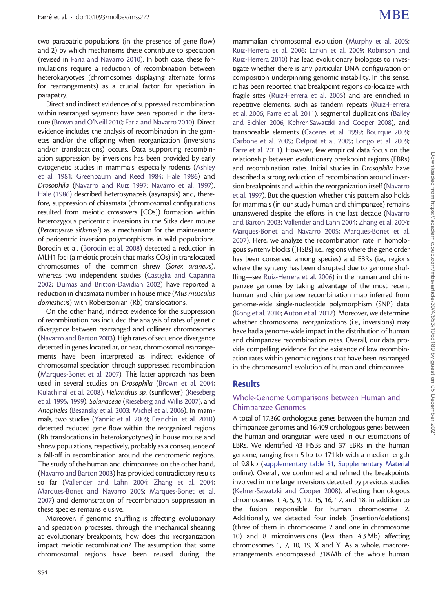two parapatric populations (in the presence of gene flow) and 2) by which mechanisms these contribute to speciation (revised in Faria and Navarro 2010). In both case, these formulations require a reduction of recombination between heterokaryotyes (chromosomes displaying alternate forms for rearrangements) as a crucial factor for speciation in parapatry.

Direct and indirect evidences of suppressed recombination within rearranged segments have been reported in the literature (Brown and O'Neill 2010; Faria and Navarro 2010). Direct evidence includes the analysis of recombination in the gametes and/or the offspring when reorganization (inversions and/or translocations) occurs. Data supporting recombination suppression by inversions has been provided by early cytogenetic studies in mammals, especially rodents (Ashley et al. 1981; Greenbaum and Reed 1984; Hale 1986) and Drosophila (Navarro and Ruiz 1997; Navarro et al. 1997). Hale (1986) described heterosynapsis (asynapsis) and, therefore, suppression of chiasmata (chromosomal configurations resulted from meiotic crossovers [COs]) formation within heterozygous pericentric inversions in the Sitka deer mouse (Peromyscus sitkenssi) as a mechanism for the maintenance of pericentric inversion polymorphisms in wild populations. Borodin et al. (Borodin et al. 2008) detected a reduction in MLH1 foci (a meiotic protein that marks COs) in translocated chromosomes of the common shrew (Sorex araneus), whereas two independent studies (Castiglia and Capanna 2002; Dumas and Britton-Davidian 2002) have reported a reduction in chiasmata number in house mice (Mus musculus domesticus) with Robertsonian (Rb) translocations.

On the other hand, indirect evidence for the suppression of recombination has included the analysis of rates of genetic divergence between rearranged and collinear chromosomes (Navarro and Barton 2003). High rates of sequence divergence detected in genes located at, or near, chromosomal rearrangements have been interpreted as indirect evidence of chromosomal speciation through suppressed recombination (Marques-Bonet et al. 2007). This latter approach has been used in several studies on Drosophila (Brown et al. 2004; Kulathinal et al. 2008), Helianthus sp. (sunflower) (Rieseberg et al. 1995, 1999), Solanaceae (Rieseberg and Willis 2007), and Anopheles (Besansky et al. 2003; Michel et al. 2006). In mammals, two studies (Yannic et al. 2009; Franchini et al. 2010) detected reduced gene flow within the reorganized regions (Rb translocations in heterokaryotypes) in house mouse and shrew populations, respectively, probably as a consequence of a fall-off in recombination around the centromeric regions. The study of the human and chimpanzee, on the other hand, (Navarro and Barton 2003) has provided contradictory results so far (Vallender and Lahn 2004; Zhang et al. 2004; Marques-Bonet and Navarro 2005; Marques-Bonet et al. 2007) and demonstration of recombination suppression in these species remains elusive.

Moreover, if genomic shuffling is affecting evolutionary and speciation processes, through the mechanical shearing at evolutionary breakpoints, how does this reorganization impact meiotic recombination? The assumption that some chromosomal regions have been reused during the

mammalian chromosomal evolution (Murphy et al. 2005; Ruiz-Herrera et al. 2006; Larkin et al. 2009; Robinson and Ruiz-Herrera 2010) has lead evolutionary biologists to investigate whether there is any particular DNA configuration or composition underpinning genomic instability. In this sense, it has been reported that breakpoint regions co-localize with fragile sites (Ruiz-Herrera et al. 2005) and are enriched in repetitive elements, such as tandem repeats (Ruiz-Herrera et al. 2006; Farre et al. 2011), segmental duplications (Bailey and Eichler 2006; Kehrer-Sawatzki and Cooper 2008), and transposable elements (Caceres et al. 1999; Bourque 2009; Carbone et al. 2009; Delprat et al. 2009; Longo et al. 2009; Farre et al. 2011). However, few empirical data focus on the relationship between evolutionary breakpoint regions (EBRs) and recombination rates. Initial studies in Drosophila have described a strong reduction of recombination around inversion breakpoints and within the reorganization itself (Navarro et al. 1997). But the question whether this pattern also holds for mammals (in our study human and chimpanzee) remains unanswered despite the efforts in the last decade (Navarro and Barton 2003; Vallender and Lahn 2004; Zhang et al. 2004; Marques-Bonet and Navarro 2005; Marques-Bonet et al. 2007). Here, we analyze the recombination rate in homologous synteny blocks ([HSBs] i.e., regions where the gene order has been conserved among species) and EBRs (i.e., regions where the synteny has been disrupted due to genome shuffling—see Ruiz-Herrera et al. 2006) in the human and chimpanzee genomes by taking advantage of the most recent human and chimpanzee recombination map inferred from genome-wide single-nucleotide polymorphism (SNP) data (Kong et al. 2010; Auton et al. 2012). Moreover, we determine whether chromosomal reorganizations (i.e., inversions) may have had a genome-wide impact in the distribution of human and chimpanzee recombination rates. Overall, our data provide compelling evidence for the existence of low recombination rates within genomic regions that have been rearranged in the chromosomal evolution of human and chimpanzee.

#### Results

#### Whole-Genome Comparisons between Human and Chimpanzee Genomes

A total of 17,360 orthologous genes between the human and chimpanzee genomes and 16,409 orthologous genes between the human and orangutan were used in our estimations of EBRs. We identified 43 HSBs and 37 EBRs in the human genome, ranging from 5 bp to 171 kb with a median length of 9.8 kb [\(supplementary table S1,](http://mbe.oxfordjournals.org/lookup/suppl/doi:10.1093/molbev/mss272/-/DC1) [Supplementary Material](http://mbe.oxfordjournals.org/lookup/suppl/doi:10.1093/molbev/mss272/-/DC1) online). Overall, we confirmed and refined the breakpoints involved in nine large inversions detected by previous studies (Kehrer-Sawatzki and Cooper 2008), affecting homologous chromosomes 1, 4, 5, 9, 12, 15, 16, 17, and 18, in addition to the fusion responsible for human chromosome 2. Additionally, we detected four indels (insertion/deletions) (three of them in chromosome 2 and one in chromosome 10) and 8 microinversions (less than 4.3 Mb) affecting chromosomes 1, 7, 10, 19, X and Y. As a whole, macrorearrangements encompassed 318 Mb of the whole human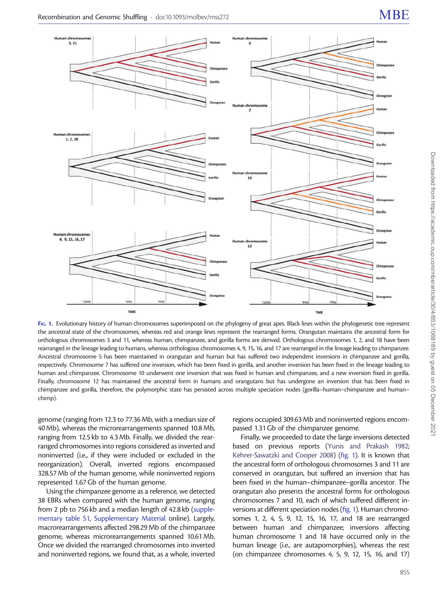

FIG. 1. Evolutionary history of human chromosomes superimposed on the phylogeny of great apes. Black lines within the phylogenetic tree represent the ancestral state of the chromosomes, whereas red and orange lines represent the rearranged forms. Orangutan maintains the ancestral form for orthologous chromosomes 3 and 11, whereas human, chimpanzee, and gorilla forms are derived. Orthologous chromosomes 1, 2, and 18 have been rearranged in the lineage leading to humans, whereas orthologous chromosomes 4, 9, 15, 16, and 17 are rearranged in the lineage leading to chimpanzee. Ancestral chromosome 5 has been maintained in orangutan and human but has suffered two independent inversions in chimpanzee and gorilla, respectively. Chromosome 7 has suffered one inversion, which has been fixed in gorilla, and another inversion has been fixed in the lineage leading to human and chimpanzee. Chromosome 10 underwent one inversion that was fixed in human and chimpanzee, and a new inversion fixed in gorilla. Finally, chromosome 12 has maintained the ancestral form in humans and orangutans but has undergone an inversion that has been fixed in chimpanzee and gorilla, therefore, the polymorphic state has persisted across multiple speciation nodes (gorilla–human–chimpanzee and human– chimp).

genome (ranging from 12.3 to 77.36 Mb, with a median size of 40 Mb), whereas the microrearrangements spanned 10.8 Mb, ranging from 12.5 kb to 4.3 Mb. Finally, we divided the rearranged chromosomes into regions considered as inverted and noninverted (i.e., if they were included or excluded in the reorganization). Overall, inverted regions encompassed 328.57 Mb of the human genome, while noninverted regions represented 1.67 Gb of the human genome.

Using the chimpanzee genome as a reference, we detected 38 EBRs when compared with the human genome, ranging from 2 pb to 756 kb and a median length of 42.8 kb [\(supple](http://mbe.oxfordjournals.org/lookup/suppl/doi:10.1093/molbev/mss272/-/DC1)[mentary table S1](http://mbe.oxfordjournals.org/lookup/suppl/doi:10.1093/molbev/mss272/-/DC1), [Supplementary Material](http://mbe.oxfordjournals.org/lookup/suppl/doi:10.1093/molbev/mss272/-/DC1) online). Largely, macrorearrangements affected 298.29 Mb of the chimpanzee genome, whereas microrearrangements spanned 10.61 Mb. Once we divided the rearranged chromosomes into inverted and noninverted regions, we found that, as a whole, inverted regions occupied 309.63 Mb and noninverted regions encompassed 1.31 Gb of the chimpanzee genome.

Finally, we proceeded to date the large inversions detected based on previous reports (Yunis and Prakash 1982; Kehrer-Sawatzki and Cooper 2008) (fig. 1). It is known that the ancestral form of orthologous chromosomes 3 and 11 are conserved in orangutan, but suffered an inversion that has been fixed in the human–chimpanzee–gorilla ancestor. The orangutan also presents the ancestral forms for orthologous chromosomes 7 and 10, each of which suffered different inversions at different speciation nodes (fig. 1). Human chromosomes 1, 2, 4, 5, 9, 12, 15, 16, 17, and 18 are rearranged between human and chimpanzee; inversions affecting human chromosome 1 and 18 have occurred only in the human lineage (i.e., are autapomorphies), whereas the rest (on chimpanzee chromosomes 4, 5, 9, 12, 15, 16, and 17)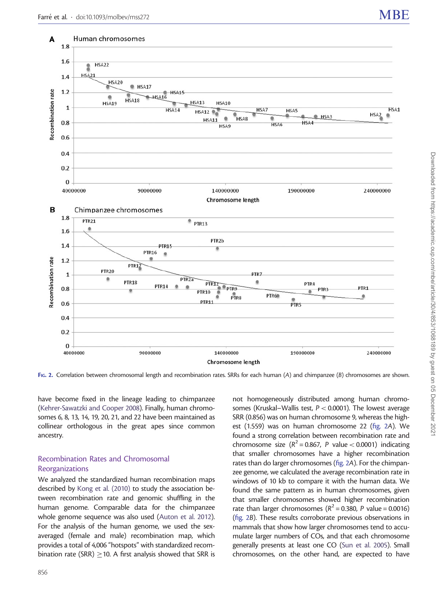

FIG. 2. Correlation between chromosomal length and recombination rates. SRRs for each human (A) and chimpanzee (B) chromosomes are shown.

have become fixed in the lineage leading to chimpanzee (Kehrer-Sawatzki and Cooper 2008). Finally, human chromosomes 6, 8, 13, 14, 19, 20, 21, and 22 have been maintained as collinear orthologous in the great apes since common ancestry.

#### Recombination Rates and Chromosomal **Reorganizations**

We analyzed the standardized human recombination maps described by Kong et al. (2010) to study the association between recombination rate and genomic shuffling in the human genome. Comparable data for the chimpanzee whole genome sequence was also used (Auton et al. 2012). For the analysis of the human genome, we used the sexaveraged (female and male) recombination map, which provides a total of 4,006 "hotspots" with standardized recombination rate (SRR)  $\geq$  10. A first analysis showed that SRR is

not homogeneously distributed among human chromosomes (Kruskal–Wallis test,  $P < 0.0001$ ). The lowest average SRR (0.856) was on human chromosome 9, whereas the highest (1.559) was on human chromosome 22 (fig. 2A). We found a strong correlation between recombination rate and chromosome size ( $R^2 = 0.867$ , P value < 0.0001) indicating that smaller chromosomes have a higher recombination rates than do larger chromosomes (fig. 2A). For the chimpanzee genome, we calculated the average recombination rate in windows of 10 kb to compare it with the human data. We found the same pattern as in human chromosomes, given that smaller chromosomes showed higher recombination rate than larger chromosomes ( $R^2 = 0.380$ , P value = 0.0016) (fig. 2B). These results corroborate previous observations in mammals that show how larger chromosomes tend to accumulate larger numbers of COs, and that each chromosome generally presents at least one CO (Sun et al. 2005). Small chromosomes, on the other hand, are expected to have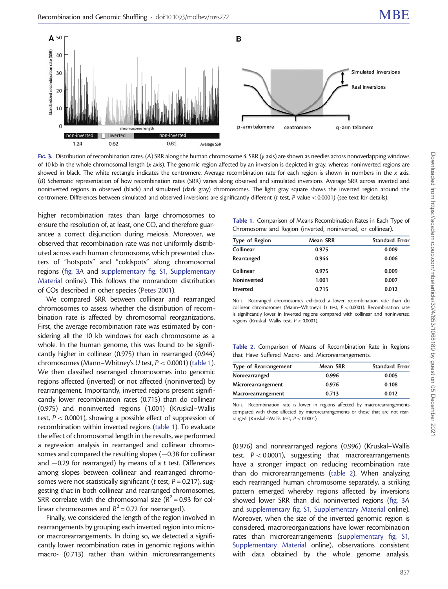

FIG. 3. Distribution of recombination rates. (A) SRR along the human chromosome 4. SRR (y axis) are shown as needles across nonoverlapping windows of 10 kb in the whole chromosomal length (x axis). The genomic region affected by an inversion is depicted in gray, whereas noninverted regions are showed in black. The white rectangle indicates the centromere. Average recombination rate for each region is shown in numbers in the x axis. (B) Schematic representation of how recombination rates (SRR) varies along observed and simulated inversions. Average SRR across inverted and noninverted regions in observed (black) and simulated (dark gray) chromosomes. The light gray square shows the inverted region around the centromere. Differences between simulated and observed inversions are significantly different ( $t$  test,  $P$  value  $< 0.0001$ ) (see text for details).

higher recombination rates than large chromosomes to ensure the resolution of, at least, one CO, and therefore guarantee a correct disjunction during meiosis. Moreover, we observed that recombination rate was not uniformly distributed across each human chromosome, which presented clusters of "hotspots" and "coldspots" along chromosomal regions (fig. 3A and [supplementary fig. S1,](http://mbe.oxfordjournals.org/lookup/suppl/doi:10.1093/molbev/mss272/-/DC1) [Supplementary](http://mbe.oxfordjournals.org/lookup/suppl/doi:10.1093/molbev/mss272/-/DC1) [Material](http://mbe.oxfordjournals.org/lookup/suppl/doi:10.1093/molbev/mss272/-/DC1) online). This follows the nonrandom distribution of COs described in other species (Petes 2001).

We compared SRR between collinear and rearranged chromosomes to assess whether the distribution of recombination rate is affected by chromosomal reorganizations. First, the average recombination rate was estimated by considering all the 10 kb windows for each chromosome as a whole. In the human genome, this was found to be significantly higher in collinear (0.975) than in rearranged (0.944) chromosomes (Mann–Whitney's U test,  $P < 0.0001$ ) (table 1). We then classified rearranged chromosomes into genomic regions affected (inverted) or not affected (noninverted) by rearrangement. Importantly, inverted regions present significantly lower recombination rates (0.715) than do collinear (0.975) and noninverted regions (1.001) (Kruskal–Wallis test,  $P < 0.0001$ ), showing a possible effect of suppression of recombination within inverted regions (table 1). To evaluate the effect of chromosomal length in the results, we performed a regression analysis in rearranged and collinear chromosomes and compared the resulting slopes  $(-0.38$  for collinear and  $-0.29$  for rearranged) by means of a t test. Differences among slopes between collinear and rearranged chromosomes were not statistically significant ( $t$  test,  $P = 0.217$ ), suggesting that in both collinear and rearranged chromosomes, SRR correlate with the chromosomal size  $(R^2 = 0.93$  for collinear chromosomes and  $R^2$  = 0.72 for rearranged).

Finally, we considered the length of the region involved in rearrangements by grouping each inverted region into microor macrorearrangements. In doing so, we detected a significantly lower recombination rates in genomic regions within macro- (0.713) rather than within microrearrangements

Table 1. Comparison of Means Recombination Rates in Each Type of Chromosome and Region (inverted, noninverted, or collinear).

| Type of Region | Mean SRR | <b>Standard Error</b> |
|----------------|----------|-----------------------|
| Collinear      | 0.975    | 0.009                 |
| Rearranged     | 0.944    | 0.006                 |
| Collinear      | 0.975    | 0.009                 |
| Noninverted    | 1.001    | 0.007                 |
| Inverted       | 0.715    | 0.012                 |

NOTE.—Rearranged chromosomes exhibited a lower recombination rate than do collinear chromosomes (Mann–Whitney's U test,  $P < 0.0001$ ). Recombination rate is significantly lower in inverted regions compared with collinear and noninverted regions (Kruskal–Wallis test, P< 0.0001).

Table 2. Comparison of Means of Recombination Rate in Regions that Have Suffered Macro- and Microrearrangements.

| Type of Rearrangement | Mean SRR | <b>Standard Error</b> |
|-----------------------|----------|-----------------------|
| Nonrearranged         | 0.996    | 0.005                 |
| Microrearrangement    | 0.976    | 0.108                 |
| Macrorearrangement    | 0.713    | 0.012                 |

NOTE.—Recombination rate is lower in regions affected by macrorearrangements compared with those affected by microrearrangements or those that are not rearranged (Kruskal–Wallis test, P< 0.0001).

(0.976) and nonrearranged regions (0.996) (Kruskal–Wallis test,  $P < 0.0001$ ), suggesting that macrorearrangements have a stronger impact on reducing recombination rate than do microrearrangements (table 2). When analyzing each rearranged human chromosome separately, a striking pattern emerged whereby regions affected by inversions showed lower SRR than did noninverted regions (fig. 3A and [supplementary fig. S1](http://mbe.oxfordjournals.org/lookup/suppl/doi:10.1093/molbev/mss272/-/DC1), [Supplementary Material](http://mbe.oxfordjournals.org/lookup/suppl/doi:10.1093/molbev/mss272/-/DC1) online). Moreover, when the size of the inverted genomic region is considered, macroreorganizations have lower recombination rates than microrearrangements ([supplementary fig. S1,](http://mbe.oxfordjournals.org/lookup/suppl/doi:10.1093/molbev/mss272/-/DC1) [Supplementary Material](http://mbe.oxfordjournals.org/lookup/suppl/doi:10.1093/molbev/mss272/-/DC1) online), observations consistent with data obtained by the whole genome analysis.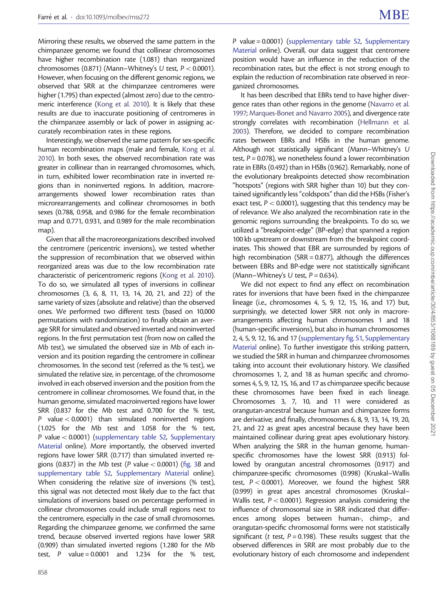Mirroring these results, we observed the same pattern in the chimpanzee genome; we found that collinear chromosomes have higher recombination rate (1.081) than reorganized chromosomes (0.871) (Mann–Whitney's U test,  $P < 0.0001$ ). However, when focusing on the different genomic regions, we observed that SRR at the chimpanzee centromeres were higher (1.795) than expected (almost zero) due to the centromeric interference (Kong et al. 2010). It is likely that these results are due to inaccurate positioning of centromeres in the chimpanzee assembly or lack of power in assigning accurately recombination rates in these regions.

Interestingly, we observed the same pattern for sex-specific human recombination maps (male and female, Kong et al. 2010). In both sexes, the observed recombination rate was greater in collinear than in rearranged chromosomes, which, in turn, exhibited lower recombination rate in inverted regions than in noninverted regions. In addition, macrorearrangements showed lower recombination rates than microrearrangements and collinear chromosomes in both sexes (0.788, 0.958, and 0.986 for the female recombination map and 0.771, 0.931, and 0.989 for the male recombination map).

Given that all the macroreorganizations described involved the centromere (pericentric inversions), we tested whether the suppression of recombination that we observed within reorganized areas was due to the low recombination rate characteristic of pericentromeric regions (Kong et al. 2010). To do so, we simulated all types of inversions in collinear chromosomes (3, 6, 8, 11, 13, 14, 20, 21, and 22) of the same variety of sizes (absolute and relative) than the observed ones. We performed two different tests (based on 10,000 permutations with randomization) to finally obtain an average SRR for simulated and observed inverted and noninverted regions. In the first permutation test (from now on called the Mb test), we simulated the observed size in Mb of each inversion and its position regarding the centromere in collinear chromosomes. In the second test (referred as the % test), we simulated the relative size, in percentage, of the chromosome involved in each observed inversion and the position from the centromere in collinear chromosomes. We found that, in the human genome, simulated macroinverted regions have lower SRR (0.837 for the Mb test and 0.700 for the % test, P value  $< 0.0001$ ) than simulated noninverted regions (1.025 for the Mb test and 1.058 for the % test, P value< 0.0001) ([supplementary table S2,](http://mbe.oxfordjournals.org/lookup/suppl/doi:10.1093/molbev/mss272/-/DC1) [Supplementary](http://mbe.oxfordjournals.org/lookup/suppl/doi:10.1093/molbev/mss272/-/DC1) [Material](http://mbe.oxfordjournals.org/lookup/suppl/doi:10.1093/molbev/mss272/-/DC1) online). More importantly, the observed inverted regions have lower SRR (0.717) than simulated inverted regions (0.837) in the Mb test (P value  $<$  0.0001) (fig. 3B and [supplementary table S2](http://mbe.oxfordjournals.org/lookup/suppl/doi:10.1093/molbev/mss272/-/DC1), [Supplementary Material](http://mbe.oxfordjournals.org/lookup/suppl/doi:10.1093/molbev/mss272/-/DC1) online). When considering the relative size of inversions (% test), this signal was not detected most likely due to the fact that simulations of inversions based on percentage performed in collinear chromosomes could include small regions next to the centromere, especially in the case of small chromosomes. Regarding the chimpanzee genome, we confirmed the same trend, because observed inverted regions have lower SRR (0.909) than simulated inverted regions (1.280 for the Mb test, P value =  $0.0001$  and 1.234 for the % test,

P value = 0.0001) [\(supplementary table S2](http://mbe.oxfordjournals.org/lookup/suppl/doi:10.1093/molbev/mss272/-/DC1), [Supplementary](http://mbe.oxfordjournals.org/lookup/suppl/doi:10.1093/molbev/mss272/-/DC1) [Material](http://mbe.oxfordjournals.org/lookup/suppl/doi:10.1093/molbev/mss272/-/DC1) online). Overall, our data suggest that centromere position would have an influence in the reduction of the recombination rates, but the effect is not strong enough to explain the reduction of recombination rate observed in reorganized chromosomes.

It has been described that EBRs tend to have higher divergence rates than other regions in the genome (Navarro et al. 1997; Marques-Bonet and Navarro 2005), and divergence rate strongly correlates with recombination (Hellmann et al. 2003). Therefore, we decided to compare recombination rates between EBRs and HSBs in the human genome. Although not statistically significant (Mann–Whitney's U test,  $P = 0.078$ ), we nonetheless found a lower recombination rate in EBRs (0.492) than in HSBs (0.962). Remarkably, none of the evolutionary breakpoints detected show recombination "hotspots" (regions with SRR higher than 10) but they contained significantly less "coldspots" than did the HSBs (Fisher's exact test,  $P < 0.0001$ ), suggesting that this tendency may be of relevance. We also analyzed the recombination rate in the genomic regions surrounding the breakpoints. To do so, we utilized a "breakpoint-edge" (BP-edge) that spanned a region 100 kb upstream or downstream from the breakpoint coordinates. This showed that EBR are surrounded by regions of high recombination (SRR =  $0.877$ ), although the differences between EBRs and BP-edge were not statistically significant (Mann–Whitney's U test,  $P = 0.634$ ).

We did not expect to find any effect on recombination rates for inversions that have been fixed in the chimpanzee lineage (i.e., chromosomes 4, 5, 9, 12, 15, 16, and 17) but, surprisingly, we detected lower SRR not only in macrorearrangements affecting human chromosomes 1 and 18 (human-specific inversions), but also in human chromosomes 2, 4, 5, 9, 12, 16, and 17 [\(supplementary fig. S1,](http://mbe.oxfordjournals.org/lookup/suppl/doi:10.1093/molbev/mss272/-/DC1) [Supplementary](http://mbe.oxfordjournals.org/lookup/suppl/doi:10.1093/molbev/mss272/-/DC1) [Material](http://mbe.oxfordjournals.org/lookup/suppl/doi:10.1093/molbev/mss272/-/DC1) online). To further investigate this striking pattern, we studied the SRR in human and chimpanzee chromosomes taking into account their evolutionary history. We classified chromosomes 1, 2, and 18 as human specific and chromosomes 4, 5, 9, 12, 15, 16, and 17 as chimpanzee specific because these chromosomes have been fixed in each lineage. Chromosomes 3, 7, 10, and 11 were considered as orangutan-ancestral because human and chimpanzee forms are derivative; and finally, chromosomes 6, 8, 9, 13, 14, 19, 20, 21, and 22 as great apes ancestral because they have been maintained collinear during great apes evolutionary history. When analyzing the SRR in the human genome, humanspecific chromosomes have the lowest SRR (0.913) followed by orangutan ancestral chromosomes (0.917) and chimpanzee-specific chromosomes (0.998) (Kruskal–Wallis test,  $P < 0.0001$ ). Moreover, we found the highest SRR (0.999) in great apes ancestral chromosomes (Kruskal– Wallis test,  $P < 0.0001$ ). Regression analysis considering the influence of chromosomal size in SRR indicated that differences among slopes between human-, chimp-, and orangutan-specific chromosomal forms were not statistically significant (t test,  $P = 0.198$ ). These results suggest that the observed differences in SRR are most probably due to the evolutionary history of each chromosome and independent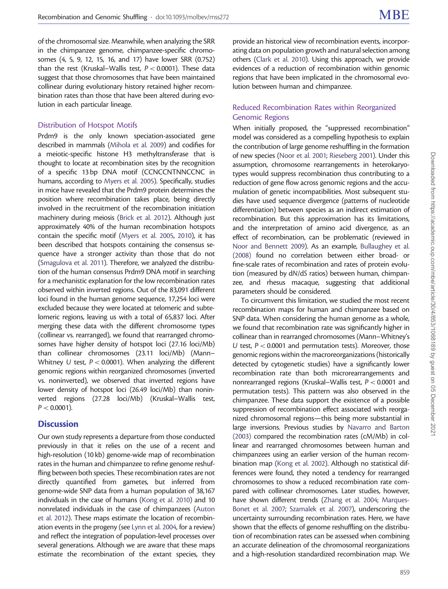of the chromosomal size. Meanwhile, when analyzing the SRR in the chimpanzee genome, chimpanzee-specific chromosomes (4, 5, 9, 12, 15, 16, and 17) have lower SRR (0.752) than the rest (Kruskal–Wallis test,  $P < 0.0001$ ). These data suggest that those chromosomes that have been maintained collinear during evolutionary history retained higher recombination rates than those that have been altered during evolution in each particular lineage.

#### Distribution of Hotspot Motifs

Prdm9 is the only known speciation-associated gene described in mammals (Mihola et al. 2009) and codifies for a meiotic-specific histone H3 methyltransferase that is thought to locate at recombination sites by the recognition of a specific 13 bp DNA motif (CCNCCNTNNCCNC in humans, according to Myers et al. 2005). Specifically, studies in mice have revealed that the Prdm9 protein determines the position where recombination takes place, being directly involved in the recruitment of the recombination initiation machinery during meiosis (Brick et al. 2012). Although just approximately 40% of the human recombination hotspots contain the specific motif (Myers et al. 2005, 2010), it has been described that hotspots containing the consensus sequence have a stronger activity than those that do not (Smagulova et al. 2011). Therefore, we analyzed the distribution of the human consensus Prdm9 DNA motif in searching for a mechanistic explanation for the low recombination rates observed within inverted regions. Out of the 83,091 different loci found in the human genome sequence, 17,254 loci were excluded because they were located at telomeric and subtelomeric regions, leaving us with a total of 65,837 loci. After merging these data with the different chromosome types (collinear vs. rearranged), we found that rearranged chromosomes have higher density of hotspot loci (27.16 loci/Mb) than collinear chromosomes (23.11 loci/Mb) (Mann– Whitney U test,  $P < 0.0001$ ). When analyzing the different genomic regions within reorganized chromosomes (inverted vs. noninverted), we observed that inverted regions have lower density of hotspot loci (26.49 loci/Mb) than noninverted regions (27.28 loci/Mb) (Kruskal–Wallis test,  $P < 0.0001$ ).

#### **Discussion**

Our own study represents a departure from those conducted previously in that it relies on the use of a recent and high-resolution (10 kb) genome-wide map of recombination rates in the human and chimpanzee to refine genome reshuffling between both species. These recombination rates are not directly quantified from gametes, but inferred from genome-wide SNP data from a human population of 38,167 individuals in the case of humans (Kong et al. 2010) and 10 nonrelated individuals in the case of chimpanzees (Auton et al. 2012). These maps estimate the location of recombination events in the progeny (see Lynn et al. 2004, for a review) and reflect the integration of population-level processes over several generations. Although we are aware that these maps estimate the recombination of the extant species, they

provide an historical view of recombination events, incorporating data on population growth and natural selection among others (Clark et al. 2010). Using this approach, we provide evidences of a reduction of recombination within genomic regions that have been implicated in the chromosomal evolution between human and chimpanzee.

#### Reduced Recombination Rates within Reorganized Genomic Regions

When initially proposed, the "suppressed recombination" model was considered as a compelling hypothesis to explain the contribution of large genome reshuffling in the formation of new species (Noor et al. 2001; Rieseberg 2001). Under this assumption, chromosome rearrangements in heterokaryotypes would suppress recombination thus contributing to a reduction of gene flow across genomic regions and the accumulation of genetic incompatibilities. Most subsequent studies have used sequence divergence (patterns of nucleotide differentiation) between species as an indirect estimation of recombination. But this approximation has its limitations, and the interpretation of amino acid divergence, as an effect of recombination, can be problematic (reviewed in Noor and Bennett 2009). As an example, Bullaughey et al. (2008) found no correlation between either broad- or fine-scale rates of recombination and rates of protein evolution (measured by dN/dS ratios) between human, chimpanzee, and rhesus macaque, suggesting that additional parameters should be considered.

To circumvent this limitation, we studied the most recent recombination maps for human and chimpanzee based on SNP data. When considering the human genome as a whole, we found that recombination rate was significantly higher in collinear than in rearranged chromosomes (Mann–Whitney's U test,  $P < 0.0001$  and permutation tests). Moreover, those genomic regions within the macroreorganizations (historically detected by cytogenetic studies) have a significantly lower recombination rate than both microrearrangements and nonrearranged regions (Kruskal–Wallis test, P< 0.0001 and permutation tests). This pattern was also observed in the chimpanzee. These data support the existence of a possible suppression of recombination effect associated with reorganized chromosomal regions—this being more substantial in large inversions. Previous studies by Navarro and Barton (2003) compared the recombination rates (cM/Mb) in collinear and rearranged chromosomes between human and chimpanzees using an earlier version of the human recombination map (Kong et al. 2002). Although no statistical differences were found, they noted a tendency for rearranged chromosomes to show a reduced recombination rate compared with collinear chromosomes. Later studies, however, have shown different trends (Zhang et al. 2004; Marques-Bonet et al. 2007; Szamalek et al. 2007), underscoring the uncertainty surrounding recombination rates. Here, we have shown that the effects of genome reshuffling on the distribution of recombination rates can be assessed when combining an accurate delineation of the chromosomal reorganizations and a high-resolution standardized recombination map. We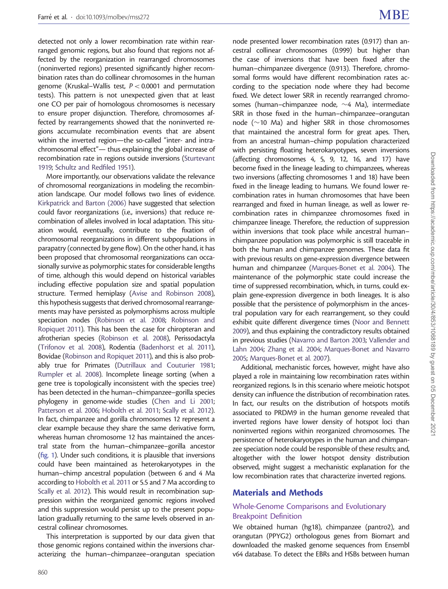detected not only a lower recombination rate within rearranged genomic regions, but also found that regions not affected by the reorganization in rearranged chromosomes (noninverted regions) presented significantly higher recombination rates than do collinear chromosomes in the human genome (Kruskal–Wallis test,  $P < 0.0001$  and permutation tests). This pattern is not unexpected given that at least one CO per pair of homologous chromosomes is necessary to ensure proper disjunction. Therefore, chromosomes affected by rearrangements showed that the noninverted regions accumulate recombination events that are absent within the inverted region—the so-called "inter- and intrachromosomal effect"— thus explaining the global increase of recombination rate in regions outside inversions (Sturtevant 1919; Schultz and Redfiled 1951).

More importantly, our observations validate the relevance of chromosomal reorganizations in modeling the recombination landscape. Our model follows two lines of evidence. Kirkpatrick and Barton (2006) have suggested that selection could favor reorganizations (i.e., inversions) that reduce recombination of alleles involved in local adaptation. This situation would, eventually, contribute to the fixation of chromosomal reorganizations in different subpopulations in parapatry (connected by gene flow). On the other hand, it has been proposed that chromosomal reorganizations can occasionally survive as polymorphic states for considerable lengths of time, although this would depend on historical variables including effective population size and spatial population structure. Termed hemiplasy (Avise and Robinson 2008), this hypothesis suggests that derived chromosomal rearrangements may have persisted as polymorphisms across multiple speciation nodes (Robinson et al. 2008; Robinson and Ropiquet 2011). This has been the case for chiropteran and afrotherian species (Robinson et al. 2008), Perissodactyla (Trifonov et al. 2008), Rodentia (Badenhorst et al. 2011), Bovidae (Robinson and Ropiquet 2011), and this is also probably true for Primates (Dutrillaux and Couturier 1981; Rumpler et al. 2008). Incomplete lineage sorting (when a gene tree is topologically inconsistent with the species tree) has been detected in the human–chimpanzee–gorilla species phylogeny in genome-wide studies (Chen and Li 2001; Patterson et al. 2006; Hobolth et al. 2011; Scally et al. 2012). In fact, chimpanzee and gorilla chromosomes 12 represent a clear example because they share the same derivative form, whereas human chromosome 12 has maintained the ancestral state from the human–chimpanzee–gorilla ancestor (fig. 1). Under such conditions, it is plausible that inversions could have been maintained as heterokaryotypes in the human–chimp ancestral population (between 6 and 4 Ma according to Hobolth et al. 2011 or 5.5 and 7 Ma according to Scally et al. 2012). This would result in recombination suppression within the reorganized genomic regions involved and this suppression would persist up to the present population gradually returning to the same levels observed in ancestral collinear chromosomes.

This interpretation is supported by our data given that those genomic regions contained within the inversions characterizing the human–chimpanzee–orangutan speciation

node presented lower recombination rates (0.917) than ancestral collinear chromosomes (0.999) but higher than the case of inversions that have been fixed after the human–chimpanzee divergence (0.913). Therefore, chromosomal forms would have different recombination rates according to the speciation node where they had become fixed. We detect lower SRR in recently rearranged chromosomes (human–chimpanzee node,  $\sim$ 4 Ma), intermediate SRR in those fixed in the human–chimpanzee–orangutan node ( $\sim$ 10 Ma) and higher SRR in those chromosomes that maintained the ancestral form for great apes. Then, from an ancestral human–chimp population characterized with persisting floating heterokaryotypes, seven inversions (affecting chromosomes 4, 5, 9, 12, 16, and 17) have become fixed in the lineage leading to chimpanzees, whereas two inversions (affecting chromosomes 1 and 18) have been fixed in the lineage leading to humans. We found lower recombination rates in human chromosomes that have been rearranged and fixed in human lineage, as well as lower recombination rates in chimpanzee chromosomes fixed in chimpanzee lineage. Therefore, the reduction of suppression within inversions that took place while ancestral human– chimpanzee population was polymorphic is still traceable in both the human and chimpanzee genomes. These data fit with previous results on gene-expression divergence between human and chimpanzee (Marques-Bonet et al. 2004). The maintenance of the polymorphic state could increase the time of suppressed recombination, which, in turns, could explain gene-expression divergence in both lineages. It is also possible that the persistence of polymorphism in the ancestral population vary for each rearrangement, so they could exhibit quite different divergence times (Noor and Bennett 2009), and thus explaining the contradictory results obtained in previous studies (Navarro and Barton 2003; Vallender and Lahn 2004; Zhang et al. 2004; Marques-Bonet and Navarro 2005; Marques-Bonet et al. 2007).

Additional, mechanistic forces, however, might have also played a role in maintaining low recombination rates within reorganized regions. Is in this scenario where meiotic hotspot density can influence the distribution of recombination rates. In fact, our results on the distribution of hotspots motifs associated to PRDM9 in the human genome revealed that inverted regions have lower density of hotspot loci than noninverted regions within reorganized chromosomes. The persistence of heterokaryotypes in the human and chimpanzee speciation node could be responsible of these results; and, altogether with the lower hotspot density distribution observed, might suggest a mechanistic explanation for the low recombination rates that characterize inverted regions.

#### Materials and Methods

#### Whole-Genome Comparisons and Evolutionary Breakpoint Definition

We obtained human (hg18), chimpanzee (pantro2), and orangutan (PPYG2) orthologous genes from Biomart and downloaded the masked genome sequences from Ensembl v64 database. To detect the EBRs and HSBs between human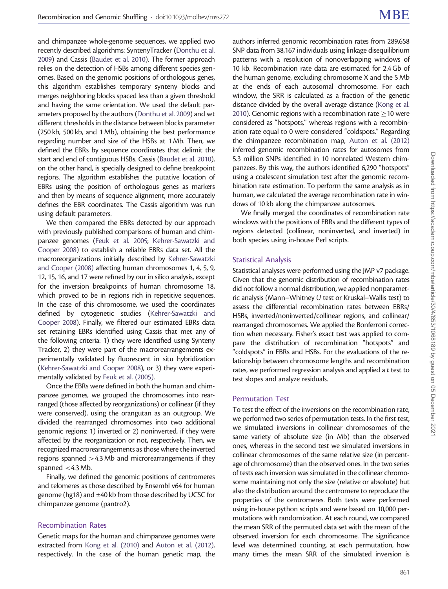and chimpanzee whole-genome sequences, we applied two recently described algorithms: SyntenyTracker (Donthu et al. 2009) and Cassis (Baudet et al. 2010). The former approach relies on the detection of HSBs among different species genomes. Based on the genomic positions of orthologous genes, this algorithm establishes temporary synteny blocks and merges neighboring blocks spaced less than a given threshold and having the same orientation. We used the default parameters proposed by the authors (Donthu et al. 2009) and set different thresholds in the distance between blocks parameter (250 kb, 500 kb, and 1 Mb), obtaining the best performance regarding number and size of the HSBs at 1 Mb. Then, we defined the EBRs by sequence coordinates that delimit the start and end of contiguous HSBs. Cassis (Baudet et al. 2010), on the other hand, is specially designed to define breakpoint regions. The algorithm establishes the putative location of EBRs using the position of orthologous genes as markers and then by means of sequence alignment, more accurately defines the EBR coordinates. The Cassis algorithm was run using default parameters.

We then compared the EBRs detected by our approach with previously published comparisons of human and chimpanzee genomes (Feuk et al. 2005; Kehrer-Sawatzki and Cooper 2008) to establish a reliable EBRs data set. All the macroreorganizations initially described by Kehrer-Sawatzki and Cooper (2008) affecting human chromosomes 1, 4, 5, 9, 12, 15, 16, and 17 were refined by our in silico analysis, except for the inversion breakpoints of human chromosome 18, which proved to be in regions rich in repetitive sequences. In the case of this chromosome, we used the coordinates defined by cytogenetic studies (Kehrer-Sawatzki and Cooper 2008). Finally, we filtered our estimated EBRs data set retaining EBRs identified using Cassis that met any of the following criteria: 1) they were identified using Synteny Tracker, 2) they were part of the macrorearrangements experimentally validated by fluorescent in situ hybridization (Kehrer-Sawatzki and Cooper 2008), or 3) they were experimentally validated by Feuk et al. (2005).

Once the EBRs were defined in both the human and chimpanzee genomes, we grouped the chromosomes into rearranged (those affected by reorganizations) or collinear (if they were conserved), using the orangutan as an outgroup. We divided the rearranged chromosomes into two additional genomic regions: 1) inverted or 2) noninverted, if they were affected by the reorganization or not, respectively. Then, we recognized macrorearrangements as those where the inverted regions spanned >4.3 Mb and microrearrangements if they spanned  $<$  4.3 Mb.

Finally, we defined the genomic positions of centromeres and telomeres as those described by Ensembl v64 for human genome (hg18) and ±40 kb from those described by UCSC for chimpanzee genome (pantro2).

#### Recombination Rates

Genetic maps for the human and chimpanzee genomes were extracted from Kong et al. (2010) and Auton et al. (2012), respectively. In the case of the human genetic map, the authors inferred genomic recombination rates from 289,658 SNP data from 38,167 individuals using linkage disequilibrium patterns with a resolution of nonoverlapping windows of 10 kb. Recombination rate data are estimated for 2.4 Gb of the human genome, excluding chromosome X and the 5 Mb at the ends of each autosomal chromosome. For each window, the SRR is calculated as a fraction of the genetic distance divided by the overall average distance (Kong et al. 2010). Genomic regions with a recombination rate  $\geq$  10 were considered as "hotspots," whereas regions with a recombination rate equal to 0 were considered "coldspots." Regarding the chimpanzee recombination map, Auton et al. (2012) inferred genomic recombination rates for autosomes from 5.3 million SNPs identified in 10 nonrelated Western chimpanzees. By this way, the authors identified 6,290 "hotspots" using a coalescent simulation test after the genomic recombination rate estimation. To perform the same analysis as in human, we calculated the average recombination rate in windows of 10 kb along the chimpanzee autosomes.

We finally merged the coordinates of recombination rate windows with the positions of EBRs and the different types of regions detected (collinear, noninverted, and inverted) in both species using in-house Perl scripts.

#### Statistical Analysis

Statistical analyses were performed using the JMP v7 package. Given that the genomic distribution of recombination rates did not follow a normal distribution, we applied nonparametric analysis (Mann–Whitney U test or Kruskal–Wallis test) to assess the differential recombination rates between EBRs/ HSBs, inverted/noninverted/collinear regions, and collinear/ rearranged chromosomes. We applied the Bonferroni correction when necessary. Fisher's exact test was applied to compare the distribution of recombination "hotspots" and "coldspots" in EBRs and HSBs. For the evaluations of the relationship between chromosome lengths and recombination rates, we performed regression analysis and applied a t test to test slopes and analyze residuals.

#### Permutation Test

To test the effect of the inversions on the recombination rate, we performed two series of permutation tests. In the first test, we simulated inversions in collinear chromosomes of the same variety of absolute size (in Mb) than the observed ones, whereas in the second test we simulated inversions in collinear chromosomes of the same relative size (in percentage of chromosome) than the observed ones. In the two series of tests each inversion was simulated in the collinear chromosome maintaining not only the size (relative or absolute) but also the distribution around the centromere to reproduce the properties of the centromeres. Both tests were performed using in-house python scripts and were based on 10,000 permutations with randomization. At each round, we compared the mean SRR of the permuted data set with the mean of the observed inversion for each chromosome. The significance level was determined counting, at each permutation, how many times the mean SRR of the simulated inversion is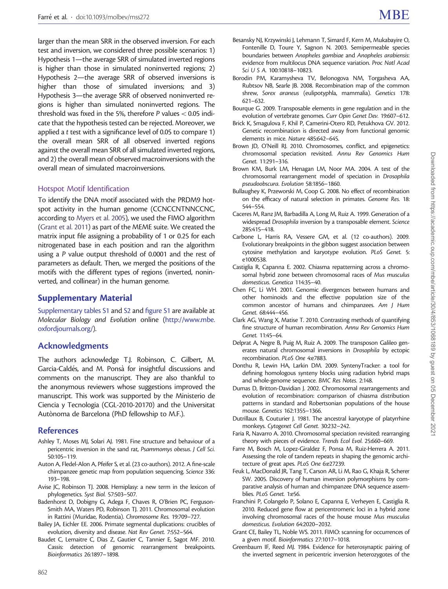larger than the mean SRR in the observed inversion. For each test and inversion, we considered three possible scenarios: 1) Hypothesis 1—the average SRR of simulated inverted regions is higher than those in simulated noninverted regions; 2) Hypothesis 2—the average SRR of observed inversions is higher than those of simulated inversions; and 3) Hypothesis 3—the average SRR of observed noninverted regions is higher than simulated noninverted regions. The threshold was fixed in the 5%, therefore  $P$  values  $< 0.05$  indicate that the hypothesis tested can be rejected. Moreover, we applied a t test with a significance level of 0.05 to compare 1) the overall mean SRR of all observed inverted regions against the overall mean SRR of all simulated inverted regions, and 2) the overall mean of observed macroinversions with the overall mean of simulated macroinversions.

#### Hotspot Motif Identification

To identify the DNA motif associated with the PRDM9 hotspot activity in the human genome (CCNCCNTNNCCNC, according to Myers et al. 2005), we used the FIMO algorithm (Grant et al. 2011) as part of the MEME suite. We created the matrix input file assigning a probability of 1 or 0.25 for each nitrogenated base in each position and ran the algorithm using a P value output threshold of 0.0001 and the rest of parameters as default. Then, we merged the positions of the motifs with the different types of regions (inverted, noninverted, and collinear) in the human genome.

#### Supplementary Material

[Supplementary tables S1](http://mbe.oxfordjournals.org/lookup/suppl/doi:10.1093/molbev/mss272/-/DC1) and [S2](http://mbe.oxfordjournals.org/lookup/suppl/doi:10.1093/molbev/mss272/-/DC1) and [figure S1](http://mbe.oxfordjournals.org/lookup/suppl/doi:10.1093/molbev/mss272/-/DC1) are available at Molecular Biology and Evolution online ([http://www.mbe.](http://www.mbe.oxfordjournals.org/) [oxfordjournals.org/](http://www.mbe.oxfordjournals.org/)).

#### Acknowledgments

The authors acknowledge T.J. Robinson, C. Gilbert, M. Garcia-Caldés, and M. Ponsà for insightful discussions and comments on the manuscript. They are also thankful to the anonymous reviewers whose suggestions improved the manuscript. This work was supported by the Ministerio de Ciencia y Tecnologia (CGL-2010-20170) and the Universitat Autònoma de Barcelona (PhD fellowship to M.F.).

#### References

- Ashley T, Moses MJ, Solari AJ. 1981. Fine structure and behaviour of a pericentric inversion in the sand rat, Psammomys obesus. J Cell Sci. 50:105–119.
- Auton A, Fledel-Alon A, Pfeifer S, et al. (23 co-authors). 2012. A fine-scale chimpanzee genetic map from population sequencing. Science 336: 193–198.
- Avise JC, Robinson TJ. 2008. Hemiplasy: a new term in the lexicon of phylogenetics. Syst Biol. 57:503–507.
- Badenhorst D, Dobigny G, Adega F, Chaves R, O'Brien PC, Ferguson-Smith MA, Waters PD, Robinson TJ. 2011. Chromosomal evolution in Rattini (Muridae, Rodentia). Chromosome Res. 19:709–727.
- Bailey JA, Eichler EE. 2006. Primate segmental duplications: crucibles of evolution, diversity and disease. Nat Rev Genet. 7:552–564.
- Baudet C, Lemaitre C, Dias Z, Gautier C, Tannier E, Sagot MF. 2010. Cassis: detection of genomic rearrangement breakpoints. Bioinformatics 26:1897–1898.
- Besansky NJ, Krzywinski J, Lehmann T, Simard F, Kern M, Mukabayire O, Fontenille D, Toure Y, Sagnon N. 2003. Semipermeable species boundaries between Anopheles gambiae and Anopheles arabiensis: evidence from multilocus DNA sequence variation. Proc Natl Acad Sci U S A. 100:10818–10823.
- Borodin PM, Karamysheva TV, Belonogova NM, Torgasheva AA, Rubtsov NB, Searle JB. 2008. Recombination map of the common shrew, Sorex araneus (eulipotyphla, mammalia). Genetics 178: 621–632.
- Bourque G. 2009. Transposable elements in gene regulation and in the evolution of vertebrate genomes. Curr Opin Genet Dev. 19:607–612.
- Brick K, Smagulova F, Khil P, Camerini-Otero RD, Petukhova GV. 2012. Genetic recombination is directed away from functional genomic elements in mice. Nature 485:642–645.
- Brown JD, O'Neill RJ. 2010. Chromosomes, conflict, and epigenetics: chromosomal speciation revisited. Annu Rev Genomics Hum Genet. 11:291–316.
- Brown KM, Burk LM, Henagan LM, Noor MA. 2004. A test of the chromosomal rearrangement model of speciation in Drosophila pseudoobscura. Evolution 58:1856–1860.
- Bullaughey K, Przeworski M, Coop G. 2008. No effect of recombination on the efficacy of natural selection in primates. Genome Res. 18: 544–554.
- Caceres M, Ranz JM, Barbadilla A, Long M, Ruiz A. 1999. Generation of a widespread Drosophila inversion by a transposable element. Science 285:415–418.
- Carbone L, Harris RA, Vessere GM, et al. (12 co-authors). 2009. Evolutionary breakpoints in the gibbon suggest association between cytosine methylation and karyotype evolution. PLoS Genet. 5: e1000538.
- Castiglia R, Capanna E. 2002. Chiasma repatterning across a chromosomal hybrid zone between chromosomal races of Mus musculus domesticus. Genetica 114:35–40.
- Chen FC, Li WH. 2001. Genomic divergences between humans and other hominoids and the effective population size of the common ancestor of humans and chimpanzees. Am J Hum Genet. 68:444–456.
- Clark AG, Wang X, Matise T. 2010. Contrasting methods of quantifying fine structure of human recombination. Annu Rev Genomics Hum Genet. 11:45–64.
- Delprat A, Negre B, Puig M, Ruiz A. 2009. The transposon Galileo generates natural chromosomal inversions in Drosophila by ectopic recombination. PLoS One 4:e7883.
- Donthu R, Lewin HA, Larkin DM. 2009. SyntenyTracker: a tool for defining homologous synteny blocks using radiation hybrid maps and whole-genome sequence. BMC Res Notes. 2:148.
- Dumas D, Britton-Davidian J. 2002. Chromosomal rearrangements and evolution of recombination: comparison of chiasma distribution patterns in standard and Robertsonian populations of the house mouse. Genetics 162:1355–1366.
- Dutrillaux B, Couturier J. 1981. The ancestral karyotype of platyrrhine monkeys. Cytogenet Cell Genet. 30:232–242.
- Faria R, Navarro A. 2010. Chromosomal speciation revisited: rearranging theory with pieces of evidence. Trends Ecol Evol. 25:660–669.
- Farre M, Bosch M, Lopez-Giraldez F, Ponsa M, Ruiz-Herrera A. 2011. Assessing the role of tandem repeats in shaping the genomic architecture of great apes. PLoS One 6:e27239.
- Feuk L, MacDonald JR, Tang T, Carson AR, Li M, Rao G, Khaja R, Scherer SW. 2005. Discovery of human inversion polymorphisms by comparative analysis of human and chimpanzee DNA sequence assemblies. PLoS Genet. 1:e56.
- Franchini P, Colangelo P, Solano E, Capanna E, Verheyen E, Castiglia R. 2010. Reduced gene flow at pericentromeric loci in a hybrid zone involving chromosomal races of the house mouse Mus musculus domesticus. Evolution 64:2020–2032.
- Grant CE, Bailey TL, Noble WS. 2011. FIMO: scanning for occurrences of a given motif. Bioinformatics 27:1017–1018.
- Greenbaum IF, Reed MJ. 1984. Evidence for heterosynaptic pairing of the inverted segment in pericentric inversion heterozygotes of the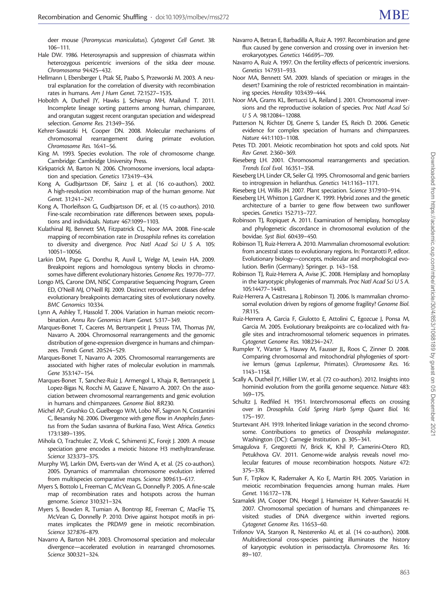- Hale DW. 1986. Heterosynapsis and suppression of chiasmata within heterozygous pericentric inversions of the sitka deer mouse. Chromosoma 94:425–432.
- Hellmann I, Ebersberger I, Ptak SE, Paabo S, Przeworski M. 2003. A neutral explanation for the correlation of diversity with recombination rates in humans. Am J Hum Genet. 72:1527–1535.
- Hobolth A, Dutheil JY, Hawks J, Schierup MH, Mailund T. 2011. Incomplete lineage sorting patterns among human, chimpanzee, and orangutan suggest recent orangutan speciation and widespread selection. Genome Res. 21:349–356.
- Kehrer-Sawatzki H, Cooper DN. 2008. Molecular mechanisms of chromosomal rearrangement during primate evolution. Chromosome Res. 16:41–56.
- King M. 1993. Species evolution. The role of chromosome change. Cambridge: Cambridge University Press.
- Kirkpatrick M, Barton N. 2006. Chromosome inversions, local adaptation and speciation. Genetics 173:419–434.
- Kong A, Gudbjartsson DF, Sainz J, et al. (16 co-authors). 2002. A high-resolution recombination map of the human genome. Nat Genet. 31:241–247.
- Kong A, Thorleifsson G, Gudbjartsson DF, et al. (15 co-authors). 2010. Fine-scale recombination rate differences between sexes, populations and individuals. Nature 467:1099–1103.
- Kulathinal RJ, Bennett SM, Fitzpatrick CL, Noor MA. 2008. Fine-scale mapping of recombination rate in Drosophila refines its correlation to diversity and divergence. Proc Natl Acad Sci U S A. 105: 10051–10056.
- Larkin DM, Pape G, Donthu R, Auvil L, Welge M, Lewin HA. 2009. Breakpoint regions and homologous synteny blocks in chromosomes have different evolutionary histories. Genome Res. 19:770–777.
- Longo MS, Carone DM, NISC Comparative Sequencing Program, Green ED, O'Neill MJ, O'Neill RJ. 2009. Distinct retroelement classes define evolutionary breakpoints demarcating sites of evolutionary novelty. BMC Genomics 10:334.
- Lynn A, Ashley T, Hassold T. 2004. Variation in human meiotic recombination. Annu Rev Genomics Hum Genet. 5:317–349.
- Marques-Bonet T, Caceres M, Bertranpetit J, Preuss TM, Thomas JW, Navarro A. 2004. Chromosomal rearrangements and the genomic distribution of gene-expression divergence in humans and chimpanzees. Trends Genet. 20:524–529.
- Marques-Bonet T, Navarro A. 2005. Chromosomal rearrangements are associated with higher rates of molecular evolution in mammals. Gene 353:147–154.
- Marques-Bonet T, Sanchez-Ruiz J, Armengol L, Khaja R, Bertranpetit J, Lopez-Bigas N, Rocchi M, Gazave E, Navarro A. 2007. On the association between chromosomal rearrangements and genic evolution in humans and chimpanzees. Genome Biol. 8:R230.
- Michel AP, Grushko O, Guelbeogo WM, Lobo NF, Sagnon N, Costantini C, Besansky NJ. 2006. Divergence with gene flow in Anopheles funestus from the Sudan savanna of Burkina Faso, West Africa. Genetics 173:1389–1395.
- Mihola O, Trachtulec Z, Vlcek C, Schimenti JC, Forejt J. 2009. A mouse speciation gene encodes a meiotic histone H3 methyltransferase. Science 323:373–375.
- Murphy WJ, Larkin DM, Everts-van der Wind A, et al. (25 co-authors). 2005. Dynamics of mammalian chromosome evolution inferred from multispecies comparative maps. Science 309:613–617.
- Myers S, Bottolo L, Freeman C, McVean G, Donnelly P. 2005. A fine-scale map of recombination rates and hotspots across the human genome. Science 310:321–324.
- Myers S, Bowden R, Tumian A, Bontrop RE, Freeman C, MacFie TS, McVean G, Donnelly P. 2010. Drive against hotspot motifs in primates implicates the PRDM9 gene in meiotic recombination. Science 327:876–879.
- Navarro A, Barton NH. 2003. Chromosomal speciation and molecular divergence—accelerated evolution in rearranged chromosomes. Science 300:321–324.
- Navarro A, Betran E, Barbadilla A, Ruiz A. 1997. Recombination and gene flux caused by gene conversion and crossing over in inversion heterokaryotypes. Genetics 146:695–709.
- Navarro A, Ruiz A. 1997. On the fertility effects of pericentric inversions. Genetics 147:931–933.
- Noor MA, Bennett SM. 2009. Islands of speciation or mirages in the desert? Examining the role of restricted recombination in maintaining species. Heredity 103:439–444.
- Noor MA, Grams KL, Bertucci LA, Reiland J. 2001. Chromosomal inversions and the reproductive isolation of species. Proc Natl Acad Sci U S A. 98:12084–12088.
- Patterson N, Richter DJ, Gnerre S, Lander ES, Reich D. 2006. Genetic evidence for complex speciation of humans and chimpanzees. Nature 441:1103–1108.
- Petes TD. 2001. Meiotic recombination hot spots and cold spots. Nat Rev Genet. 2:360–369.
- Rieseberg LH. 2001. Chromosomal rearrangements and speciation. Trends Ecol Evol. 16:351–358.
- Rieseberg LH, Linder CR, Seiler GJ. 1995. Chromosomal and genic barriers to introgression in helianthus. Genetics 141:1163–1171.
- Rieseberg LH, Willis JH. 2007. Plant speciation. Science 317:910–914.
- Rieseberg LH, Whitton J, Gardner K. 1999. Hybrid zones and the genetic architecture of a barrier to gene flow between two sunflower species. Genetics 152:713–727.
- Robinson TJ, Ropiquet A. 2011. Examination of hemiplasy, homoplasy and phylogenetic discordance in chromosomal evolution of the bovidae. Syst Biol. 60:439–450.
- Robinson TJ, Ruiz-Herrera A. 2010. Mammalian chromosomal evolution: from ancestral states to evolutionary regions. In: Pontarotti P, editor. Evolutionary biology—concepts, molecular and morphological evolution. Berlin (Germany): Springer. p. 143–158.
- Robinson TJ, Ruiz-Herrera A, Avise JC. 2008. Hemiplasy and homoplasy in the karyotypic phylogenies of mammals. Proc Natl Acad Sci U S A. 105:14477–14481.
- Ruiz-Herrera A, Castresana J, Robinson TJ. 2006. Is mammalian chromosomal evolution driven by regions of genome fragility? Genome Biol. 7:R115.
- Ruiz-Herrera A, Garcia F, Giulotto E, Attolini C, Egozcue J, Ponsa M, Garcia M. 2005. Evolutionary breakpoints are co-localized with fragile sites and intrachromosomal telomeric sequences in primates. Cytogenet Genome Res. 108:234–247.
- Rumpler Y, Warter S, Hauwy M, Fausser JL, Roos C, Zinner D. 2008. Comparing chromosomal and mitochondrial phylogenies of sportive lemurs (genus Lepilemur, Primates). Chromosome Res. 16: 1143–1158.
- Scally A, Dutheil JY, Hillier LW, et al. (72 co-authors). 2012. Insights into hominid evolution from the gorilla genome sequence. Nature 483: 169–175.
- Schultz J, Redfiled H. 1951. Interchromosomal effects on crossing over in Drosophila. Cold Spring Harb Symp Quant Biol. 16: 175–197.
- Sturtevant AH. 1919. Inherited linkage variation in the second chromosome. Contributions to genetics of Drosophila melanogaster. Washington (DC): Carnegie Institution. p. 305–341.
- Smagulova F, Gregoretti IV, Brick K, Khil P, Camerini-Otero RD, Petukhova GV. 2011. Genome-wide analysis reveals novel molecular features of mouse recombination hotspots. Nature 472: 375–378.
- Sun F, Trpkov K, Rademaker A, Ko E, Martin RH. 2005. Variation in meiotic recombination frequencies among human males. Hum Genet. 116:172–178.
- Szamalek JM, Cooper DN, Hoegel J, Hameister H, Kehrer-Sawatzki H. 2007. Chromosomal speciation of humans and chimpanzees revisited: studies of DNA divergence within inverted regions. Cytogenet Genome Res. 116:53–60.
- Trifonov VA, Stanyon R, Nesterenko AI, et al. (14 co-authors). 2008. Multidirectional cross-species painting illuminates the history of karyotypic evolution in perissodactyla. Chromosome Res. 16: 89–107.